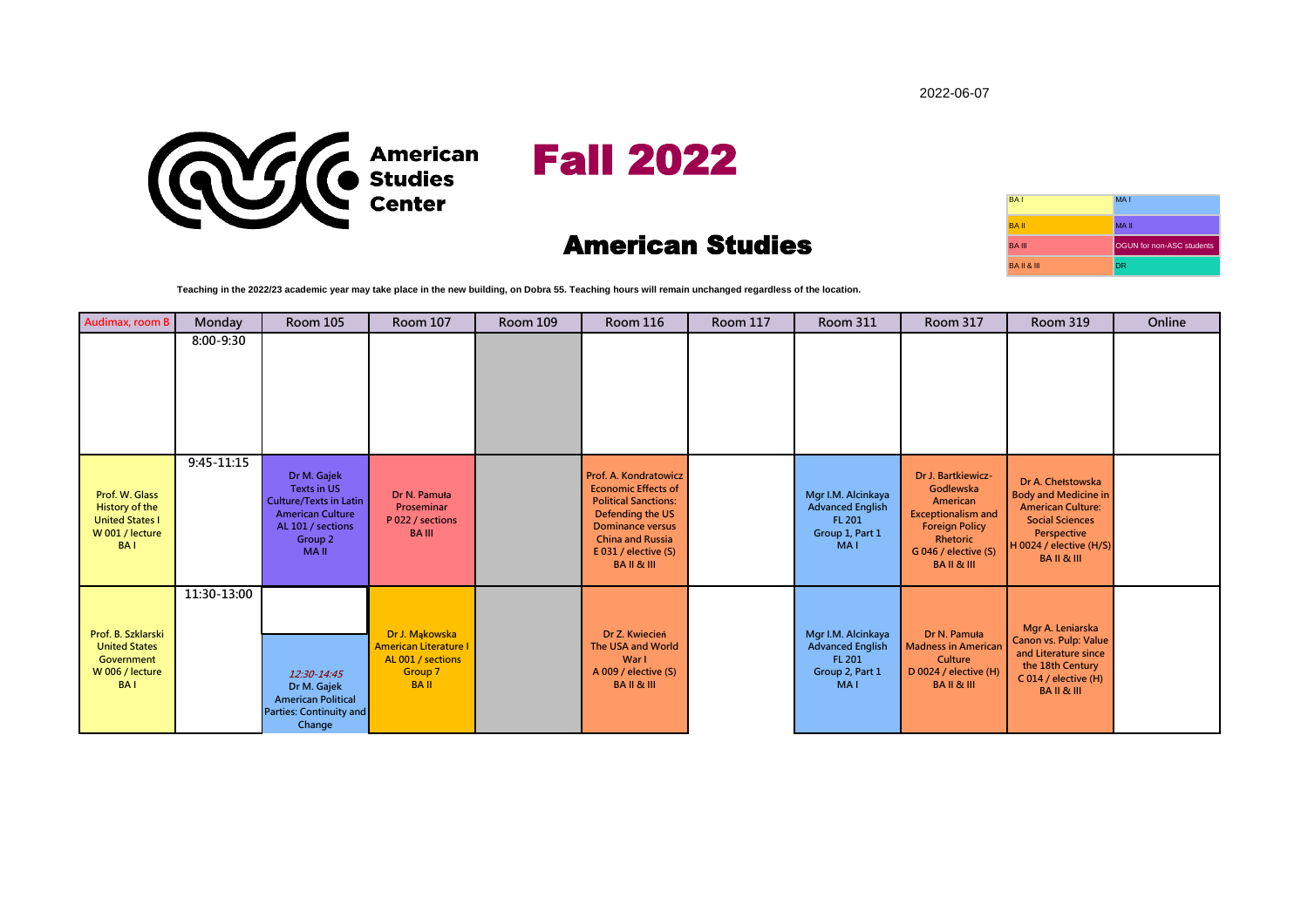2022-06-07



## American Studies

| <b>BAI</b>           | MA <sub>1</sub>           |
|----------------------|---------------------------|
| <b>BAII</b>          | <b>MAII</b>               |
| <b>BA III</b>        | OGUN for non-ASC students |
| <b>BAIL&amp; III</b> | <b>DR</b>                 |

**Teaching in the 2022/23 academic year may take place in the new building, on Dobra 55. Teaching hours will remain unchanged regardless of the location.** 

| Audimax, room B                                                                             | Monday      | <b>Room 105</b>                                                                                                                                         | <b>Room 107</b>                                                                               | <b>Room 109</b> | <b>Room 116</b>                                                                                                                                                                                                    | <b>Room 117</b> | <b>Room 311</b>                                                                          | <b>Room 317</b>                                                                                                                                              | <b>Room 319</b>                                                                                                                                                         | Online |
|---------------------------------------------------------------------------------------------|-------------|---------------------------------------------------------------------------------------------------------------------------------------------------------|-----------------------------------------------------------------------------------------------|-----------------|--------------------------------------------------------------------------------------------------------------------------------------------------------------------------------------------------------------------|-----------------|------------------------------------------------------------------------------------------|--------------------------------------------------------------------------------------------------------------------------------------------------------------|-------------------------------------------------------------------------------------------------------------------------------------------------------------------------|--------|
|                                                                                             | 8:00-9:30   |                                                                                                                                                         |                                                                                               |                 |                                                                                                                                                                                                                    |                 |                                                                                          |                                                                                                                                                              |                                                                                                                                                                         |        |
| Prof. W. Glass<br>History of the<br><b>United States I</b><br>W 001 / lecture<br><b>BAI</b> | 9:45-11:15  | Dr M. Gajek<br><b>Texts in US</b><br><b>Culture/Texts in Latin</b><br><b>American Culture</b><br>AL 101 / sections<br>Group <sub>2</sub><br><b>MAII</b> | Dr N. Pamuła<br>Proseminar<br>P 022 / sections<br><b>BA III</b>                               |                 | <b>Prof. A. Kondratowicz</b><br><b>Economic Effects of</b><br><b>Political Sanctions:</b><br>Defending the US<br><b>Dominance versus</b><br><b>China and Russia</b><br>E 031 / elective (S)<br><b>BAIL&amp;III</b> |                 | Mgr I.M. Alcinkaya<br><b>Advanced English</b><br>FL 201<br>Group 1, Part 1<br><b>MAI</b> | Dr J. Bartkiewicz-<br>Godlewska<br>American<br><b>Exceptionalism and</b><br><b>Foreign Policy</b><br>Rhetoric<br>G 046 / elective (S)<br><b>BAIL&amp;III</b> | Dr A. Chełstowska<br><b>Body and Medicine in</b><br><b>American Culture:</b><br><b>Social Sciences</b><br>Perspective<br>H 0024 / elective (H/S)<br><b>BAIL&amp;III</b> |        |
| Prof. B. Szklarski<br><b>United States</b><br>Government<br>W 006 / lecture<br><b>BAI</b>   | 11:30-13:00 | 12:30-14:45<br>Dr M. Gajek<br><b>American Political</b><br><b>Parties: Continuity and</b><br>Change                                                     | Dr J. Mąkowska<br><b>American Literature I</b><br>AL 001 / sections<br>Group 7<br><b>BAII</b> |                 | Dr Z. Kwiecień<br>The USA and World<br>War I<br>A 009 / elective (S)<br><b>BAIL&amp;III</b>                                                                                                                        |                 | Mgr I.M. Alcinkaya<br><b>Advanced English</b><br>FL 201<br>Group 2, Part 1<br><b>MAI</b> | Dr N. Pamuła<br><b>Madness in American</b><br>Culture<br>D 0024 / elective (H)<br>BAIL & III                                                                 | Mgr A. Leniarska<br>Canon vs. Pulp: Value<br>and Literature since<br>the 18th Century<br>C 014 / elective (H)<br><b>BAIL&amp;III</b>                                    |        |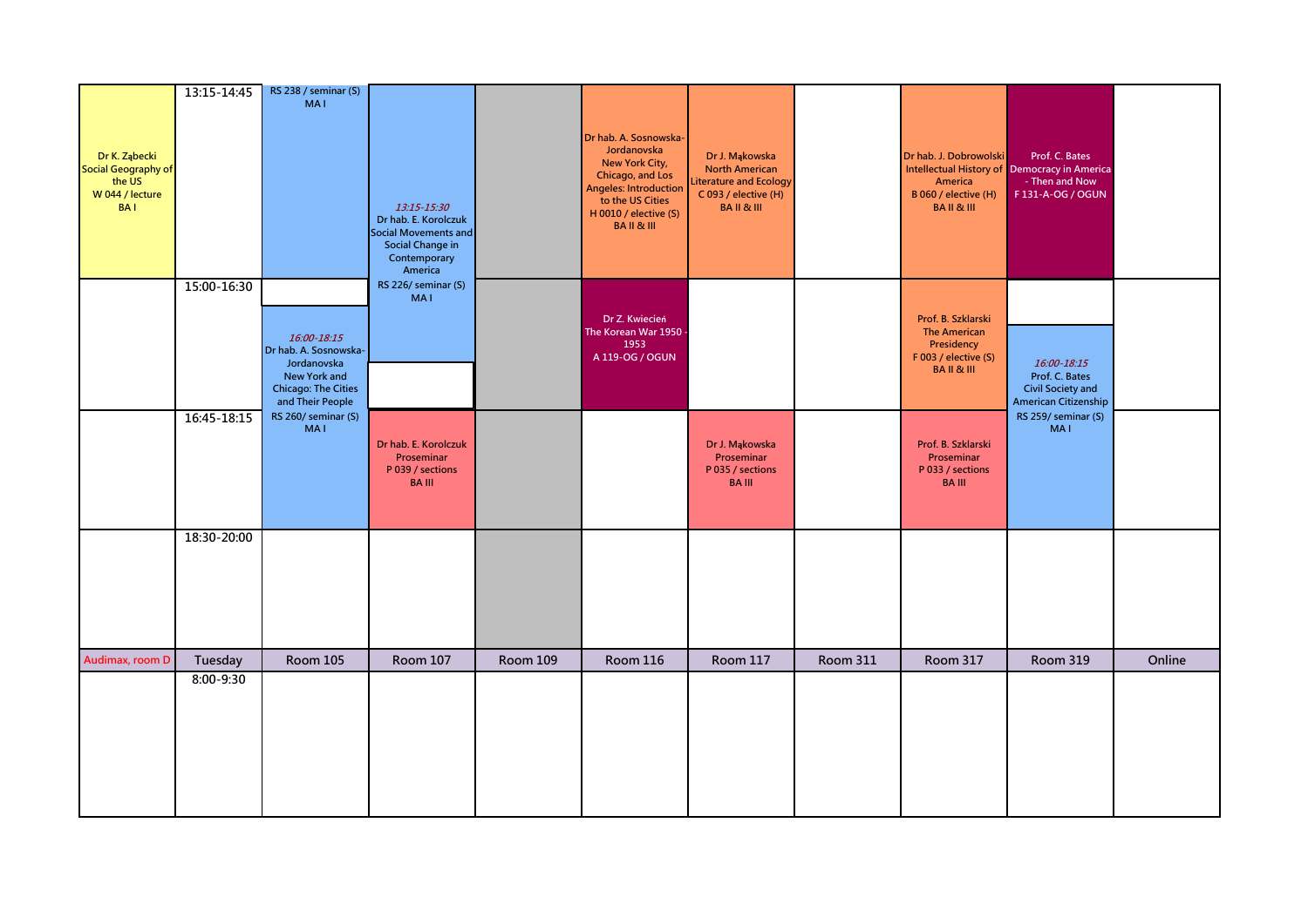| Dr K. Ząbecki<br><b>Social Geography of</b><br>the US<br>W 044 / lecture<br><b>BAI</b> | 13:15-14:45          | RS 238 / seminar (S)<br><b>MAI</b>                                                                                    | 13:15-15:30<br>Dr hab. E. Korolczuk<br><b>Social Movements and</b><br>Social Change in<br>Contemporary<br>America |                 | Dr hab. A. Sosnowska-<br>Jordanovska<br>New York City,<br>Chicago, and Los<br>Angeles: Introduction<br>to the US Cities<br>H 0010 / elective (S)<br><b>BAIL&amp;III</b> | Dr J. Mąkowska<br><b>North American</b><br>iterature and Ecology<br>C 093 / elective (H)<br><b>BAIL&amp;III</b> |                 | Dr hab. J. Dobrowolski<br>America<br>B 060 / elective (H)<br><b>BAIL&amp;III</b>                       | Prof. C. Bates<br>Intellectual History of Democracy in America<br>- Then and Now<br>F131-A-OG / OGUN |        |
|----------------------------------------------------------------------------------------|----------------------|-----------------------------------------------------------------------------------------------------------------------|-------------------------------------------------------------------------------------------------------------------|-----------------|-------------------------------------------------------------------------------------------------------------------------------------------------------------------------|-----------------------------------------------------------------------------------------------------------------|-----------------|--------------------------------------------------------------------------------------------------------|------------------------------------------------------------------------------------------------------|--------|
|                                                                                        | 15:00-16:30          | 16:00-18:15<br>Dr hab. A. Sosnowska-<br>Jordanovska<br>New York and<br><b>Chicago: The Cities</b><br>and Their People | RS 226/ seminar (S)<br><b>MAI</b>                                                                                 |                 | Dr Z. Kwiecień<br>The Korean War 1950<br>1953<br>A 119-OG / OGUN                                                                                                        |                                                                                                                 |                 | Prof. B. Szklarski<br><b>The American</b><br>Presidency<br>F 003 / elective (S)<br><b>BAIL&amp;III</b> | 16:00-18:15<br>Prof. C. Bates<br><b>Civil Society and</b><br>American Citizenship                    |        |
|                                                                                        | 16:45-18:15          | RS 260/ seminar (S)<br><b>MAI</b>                                                                                     | Dr hab. E. Korolczuk<br>Proseminar<br>P 039 / sections<br><b>BA III</b>                                           |                 |                                                                                                                                                                         | Dr J. Mąkowska<br>Proseminar<br>P 035 / sections<br><b>BAIII</b>                                                |                 | Prof. B. Szklarski<br>Proseminar<br>P 033 / sections<br><b>BA III</b>                                  | RS 259/ seminar (S)<br><b>MAI</b>                                                                    |        |
|                                                                                        | 18:30-20:00          |                                                                                                                       |                                                                                                                   |                 |                                                                                                                                                                         |                                                                                                                 |                 |                                                                                                        |                                                                                                      |        |
| Audimax, room D                                                                        | Tuesday<br>8:00-9:30 | <b>Room 105</b>                                                                                                       | <b>Room 107</b>                                                                                                   | <b>Room 109</b> | <b>Room 116</b>                                                                                                                                                         | <b>Room 117</b>                                                                                                 | <b>Room 311</b> | Room 317                                                                                               | <b>Room 319</b>                                                                                      | Online |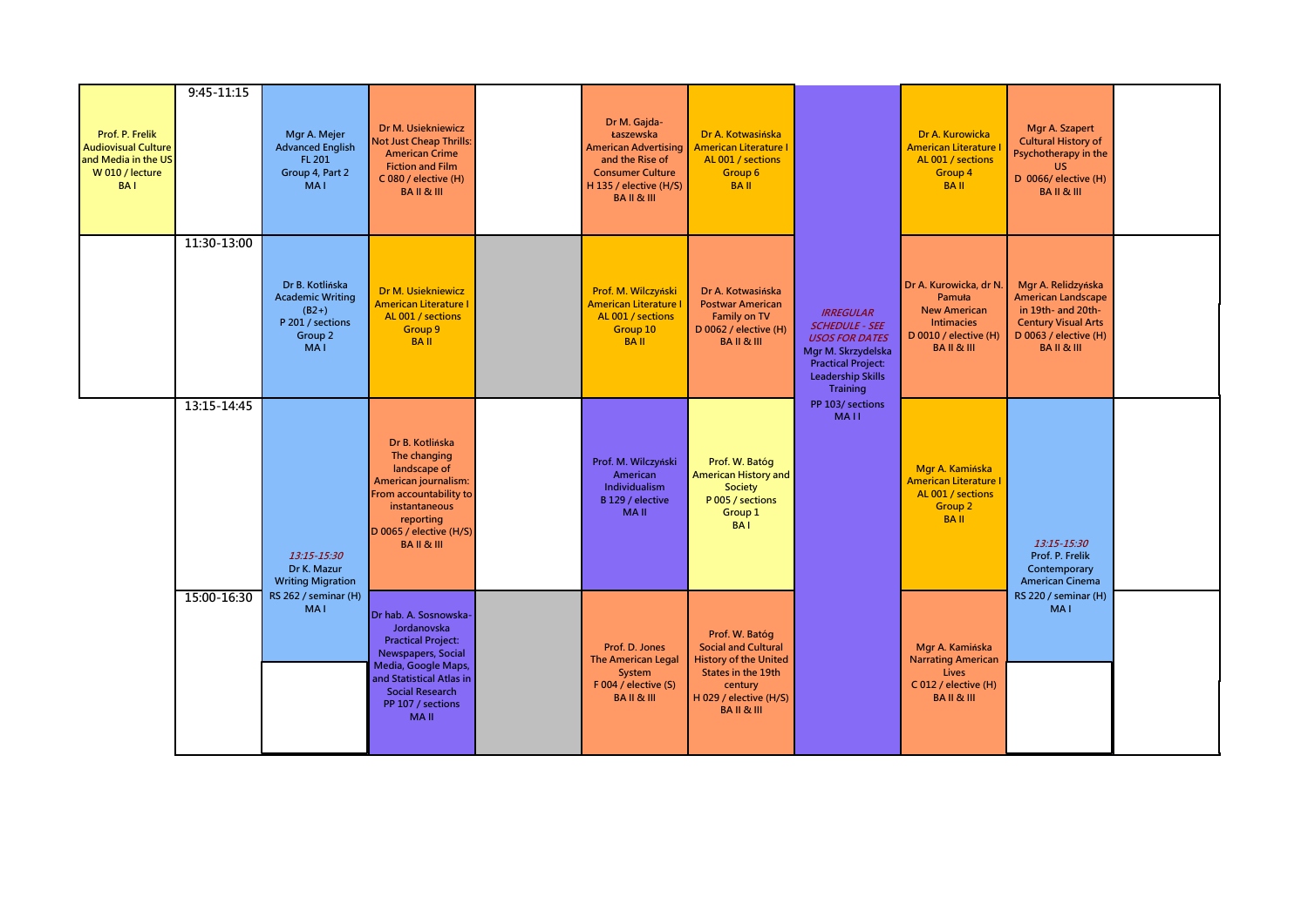| Prof. P. Frelik<br><b>Audiovisual Culture</b><br>and Media in the US<br>W 010 / lecture<br><b>BAI</b> | $9:45 - 11:15$ | Mgr A. Mejer<br><b>Advanced English</b><br>FL 201<br>Group 4, Part 2<br>MA <sub>1</sub>            | Dr M. Usiekniewicz<br><b>Not Just Cheap Thrills:</b><br><b>American Crime</b><br><b>Fiction and Film</b><br>C 080 / elective (H)<br><b>BAIL&amp;III</b>                                                  | Dr M. Gajda-<br>Łaszewska<br><b>American Advertising</b><br>and the Rise of<br><b>Consumer Culture</b><br>H 135 / elective (H/S)<br><b>BAIL&amp;III</b> | Dr A. Kotwasińska<br><b>American Literature I</b><br>AL 001 / sections<br>Group 6<br><b>BAII</b>                                                               |                                                                                                                                                               | Dr A. Kurowicka<br><b>American Literature</b><br>AL 001 / sections<br>Group 4<br><b>BAII</b>                                        | Mgr A. Szapert<br><b>Cultural History of</b><br>Psychotherapy in the<br><b>US</b><br>D 0066/ elective (H)<br><b>BAIL&amp;III</b>                    |  |
|-------------------------------------------------------------------------------------------------------|----------------|----------------------------------------------------------------------------------------------------|----------------------------------------------------------------------------------------------------------------------------------------------------------------------------------------------------------|---------------------------------------------------------------------------------------------------------------------------------------------------------|----------------------------------------------------------------------------------------------------------------------------------------------------------------|---------------------------------------------------------------------------------------------------------------------------------------------------------------|-------------------------------------------------------------------------------------------------------------------------------------|-----------------------------------------------------------------------------------------------------------------------------------------------------|--|
|                                                                                                       | 11:30-13:00    | Dr B. Kotlińska<br><b>Academic Writing</b><br>$(B2+)$<br>P 201 / sections<br>Group 2<br><b>MAI</b> | Dr M. Usiekniewicz<br><b>American Literature I</b><br>AL 001 / sections<br>Group 9<br><b>BAII</b>                                                                                                        | Prof. M. Wilczyński<br><b>American Literature I</b><br>AL 001 / sections<br>Group 10<br><b>BAII</b>                                                     | Dr A. Kotwasińska<br><b>Postwar American</b><br>Family on TV<br>D 0062 / elective (H)<br><b>BAIL&amp;III</b>                                                   | <b>IRREGULAR</b><br><b>SCHEDULE - SEE</b><br><b>USOS FOR DATES</b><br>Mgr M. Skrzydelska<br><b>Practical Project:</b><br><b>Leadership Skills</b><br>Training | Dr A. Kurowicka, dr N.<br><b>Pamuła</b><br><b>New American</b><br><b>Intimacies</b><br>D 0010 / elective (H)<br><b>BAIL&amp;III</b> | Mgr A. Relidzyńska<br><b>American Landscape</b><br>in 19th- and 20th-<br><b>Century Visual Arts</b><br>D 0063 / elective (H)<br><b>BAIL&amp;III</b> |  |
|                                                                                                       | 13:15-14:45    | 13:15-15:30<br>Dr K. Mazur<br><b>Writing Migration</b>                                             | Dr B. Kotlińska<br>The changing<br>landscape of<br>American journalism:<br>From accountability to<br>instantaneous<br>reporting<br>D 0065 / elective (H/S)<br><b>BAIL&amp;III</b>                        | Prof. M. Wilczyński<br>American<br>Individualism<br>B 129 / elective<br><b>MAII</b>                                                                     | Prof. W. Batóg<br>American History and<br>Society<br>P 005 / sections<br>Group 1<br><b>BAI</b>                                                                 | PP 103/ sections<br><b>MAII</b>                                                                                                                               | Mgr A. Kamińska<br><b>American Literature I</b><br>AL 001 / sections<br>Group <sub>2</sub><br><b>BAII</b>                           | 13:15-15:30<br>Prof. P. Frelik<br>Contemporary<br><b>American Cinema</b>                                                                            |  |
|                                                                                                       | 15:00-16:30    | RS 262 / seminar (H)<br>MA <sub>1</sub>                                                            | Dr hab. A. Sosnowska-<br>Jordanovska<br><b>Practical Project:</b><br>Newspapers, Social<br>Media, Google Maps,<br>and Statistical Atlas in<br><b>Social Research</b><br>PP 107 / sections<br><b>MAII</b> | Prof. D. Jones<br>The American Legal<br>System<br>$F$ 004 / elective (S)<br><b>BAIL&amp;III</b>                                                         | Prof. W. Batóg<br><b>Social and Cultural</b><br><b>History of the United</b><br>States in the 19th<br>century<br>H 029 / elective (H/S)<br><b>BAIL&amp;III</b> |                                                                                                                                                               | Mgr A. Kamińska<br><b>Narrating American</b><br>Lives<br>C 012 / elective (H)<br><b>BAIL&amp;III</b>                                | RS 220 / seminar (H)<br><b>MAI</b>                                                                                                                  |  |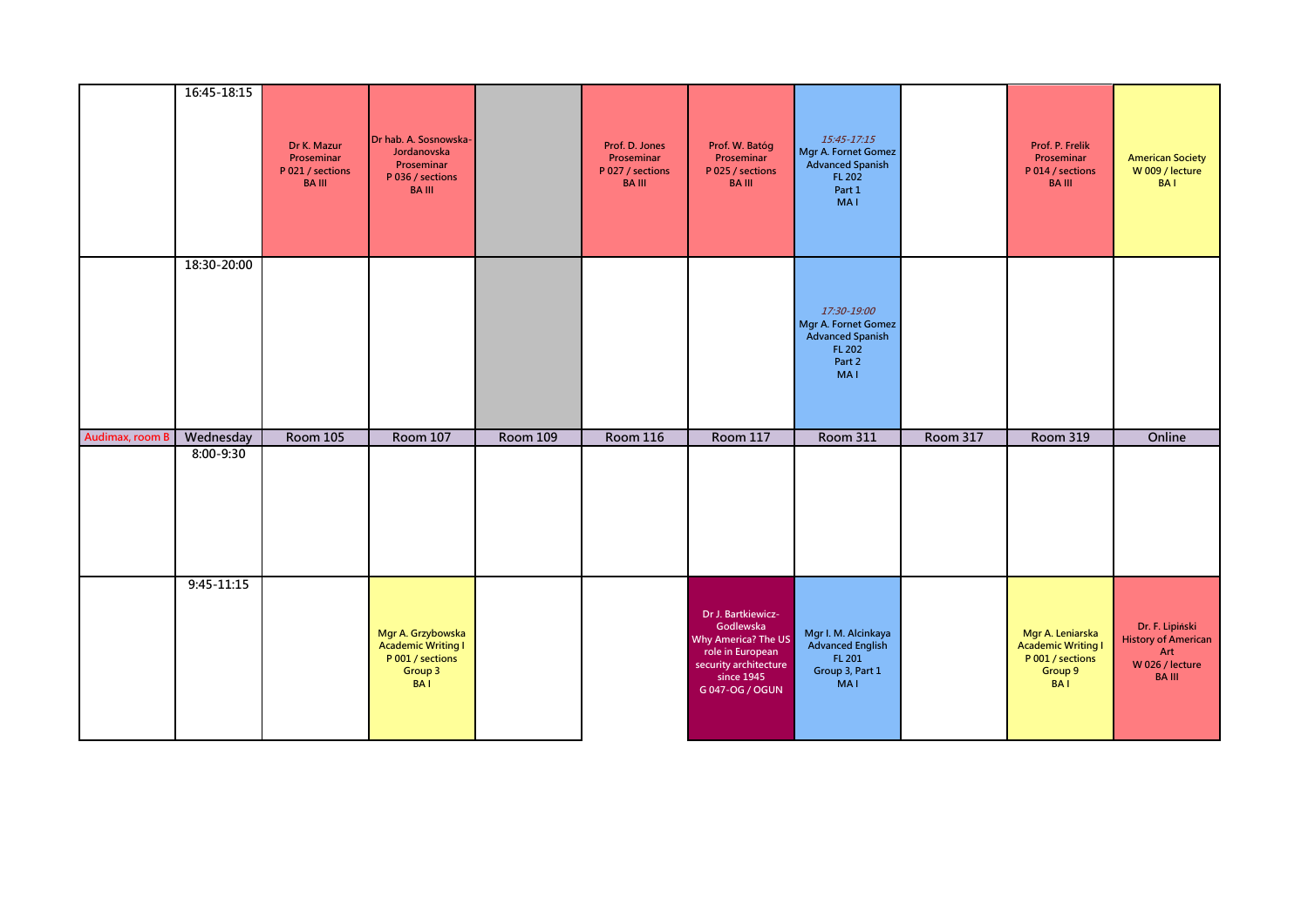|                 | 16:45-18:15    | Dr K. Mazur<br>Proseminar<br>P 021 / sections<br><b>BA III</b> | Dr hab. A. Sosnowska-<br>Jordanovska<br>Proseminar<br>P 036 / sections<br><b>BAIII</b> |          | Prof. D. Jones<br>Proseminar<br>P 027 / sections<br><b>BA III</b> | Prof. W. Batóg<br>Proseminar<br>P 025 / sections<br><b>BAIII</b> | $15:45 - 17:15$<br>Mgr A. Fornet Gomez<br>Advanced Spanish<br><b>FL 202</b><br>Part 1<br><b>MAI</b>    |                 | Prof. P. Frelik<br>Proseminar<br>P 014 / sections<br><b>BAIII</b> | <b>American Society</b><br>W 009 / lecture<br><b>BAI</b> |
|-----------------|----------------|----------------------------------------------------------------|----------------------------------------------------------------------------------------|----------|-------------------------------------------------------------------|------------------------------------------------------------------|--------------------------------------------------------------------------------------------------------|-----------------|-------------------------------------------------------------------|----------------------------------------------------------|
|                 | 18:30-20:00    |                                                                |                                                                                        |          |                                                                   |                                                                  | 17:30-19:00<br>Mgr A. Fornet Gomez<br><b>Advanced Spanish</b><br><b>FL 202</b><br>Part 2<br><b>MAI</b> |                 |                                                                   |                                                          |
| Audimax, room B | Wednesday      | <b>Room 105</b>                                                | <b>Room 107</b>                                                                        | Room 109 | <b>Room 116</b>                                                   | Room 117                                                         | <b>Room 311</b>                                                                                        | <b>Room 317</b> | <b>Room 319</b>                                                   | Online                                                   |
|                 | 8:00-9:30      |                                                                |                                                                                        |          |                                                                   |                                                                  |                                                                                                        |                 |                                                                   |                                                          |
|                 | $9:45 - 11:15$ |                                                                |                                                                                        |          |                                                                   |                                                                  |                                                                                                        |                 |                                                                   |                                                          |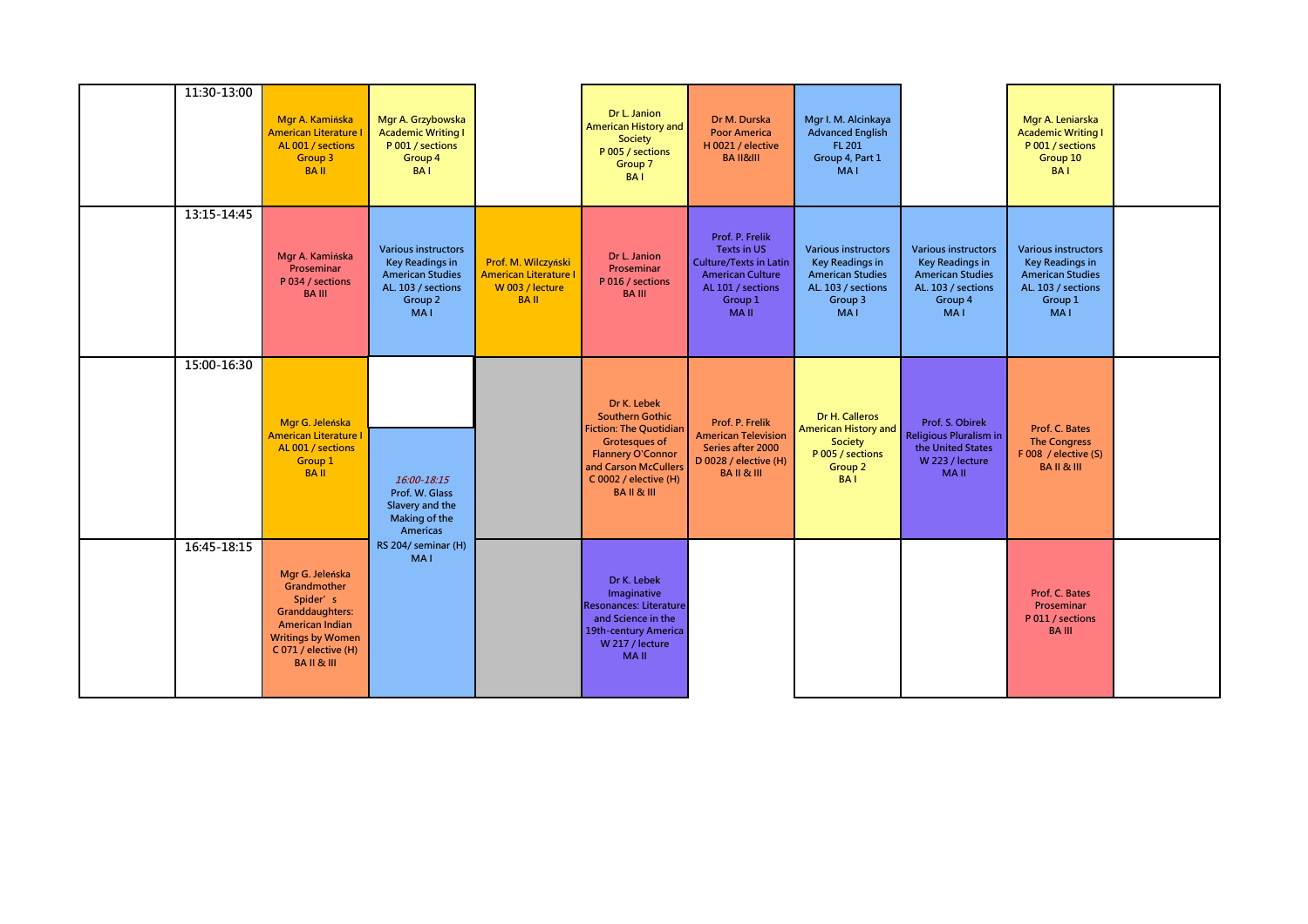| 11:30-13:00 | Mgr A. Kamińska<br><b>American Literature I</b><br>AL 001 / sections<br>Group 3<br><b>BAII</b>                                                                     | Mgr A. Grzybowska<br><b>Academic Writing I</b><br>P 001 / sections<br>Group 4<br><b>BAI</b>                                    |                                                                                       | Dr L. Janion<br><b>American History and</b><br>Society<br>P 005 / sections<br>Group 7<br><b>BAI</b>                                                                                                | Dr M. Durska<br><b>Poor America</b><br>H 0021 / elective<br><b>BA II&amp;III</b>                                                                 | Mgr I. M. Alcinkaya<br><b>Advanced English</b><br>FL 201<br>Group 4, Part 1<br>MA <sub>1</sub>                                 |                                                                                                                                | Mgr A. Leniarska<br><b>Academic Writing I</b><br>P 001 / sections<br>Group 10<br><b>BAI</b>                                    |  |
|-------------|--------------------------------------------------------------------------------------------------------------------------------------------------------------------|--------------------------------------------------------------------------------------------------------------------------------|---------------------------------------------------------------------------------------|----------------------------------------------------------------------------------------------------------------------------------------------------------------------------------------------------|--------------------------------------------------------------------------------------------------------------------------------------------------|--------------------------------------------------------------------------------------------------------------------------------|--------------------------------------------------------------------------------------------------------------------------------|--------------------------------------------------------------------------------------------------------------------------------|--|
| 13:15-14:45 | Mgr A. Kamińska<br>Proseminar<br>P 034 / sections<br><b>BA III</b>                                                                                                 | <b>Various instructors</b><br><b>Key Readings in</b><br><b>American Studies</b><br>AL. 103 / sections<br>Group 2<br><b>MAI</b> | Prof. M. Wilczyński<br><b>American Literature I</b><br>W 003 / lecture<br><b>BAII</b> | Dr L. Janion<br>Proseminar<br>P 016 / sections<br><b>BAIII</b>                                                                                                                                     | Prof. P. Frelik<br><b>Texts in US</b><br><b>Culture/Texts in Latin</b><br><b>American Culture</b><br>AL 101 / sections<br>Group 1<br><b>MAII</b> | <b>Various instructors</b><br><b>Key Readings in</b><br><b>American Studies</b><br>AL. 103 / sections<br>Group 3<br><b>MAI</b> | <b>Various instructors</b><br><b>Key Readings in</b><br><b>American Studies</b><br>AL. 103 / sections<br>Group 4<br><b>MAI</b> | <b>Various instructors</b><br><b>Key Readings in</b><br><b>American Studies</b><br>AL. 103 / sections<br>Group 1<br><b>MAI</b> |  |
| 15:00-16:30 | Mgr G. Jeleńska<br><b>American Literature I</b><br>AL 001 / sections<br>Group 1<br><b>BAII</b>                                                                     | 16:00-18:15<br>Prof. W. Glass<br>Slavery and the<br>Making of the<br>Americas                                                  |                                                                                       | Dr K. Lebek<br><b>Southern Gothic</b><br><b>Fiction: The Quotidian</b><br><b>Grotesques of</b><br><b>Flannery O'Connor</b><br>and Carson McCullers<br>C 0002 / elective (H)<br><b>BAIL&amp;III</b> | Prof. P. Frelik<br><b>American Television</b><br>Series after 2000<br>D 0028 / elective (H)<br><b>BAIL&amp;III</b>                               | Dr H. Calleros<br>American History and<br><b>Society</b><br>P 005 / sections<br>Group 2<br><b>BAI</b>                          | Prof. S. Obirek<br>Religious Pluralism in<br>the United States<br>W 223 / lecture<br><b>MAII</b>                               | Prof. C. Bates<br><b>The Congress</b><br>F 008 / elective $(S)$<br><b>BAIL&amp;III</b>                                         |  |
| 16:45-18:15 | Mgr G. Jeleńska<br>Grandmother<br>Spider's<br><b>Granddaughters:</b><br>American Indian<br><b>Writings by Women</b><br>C 071 / elective (H)<br><b>BAIL&amp;III</b> | RS 204/ seminar (H)<br><b>MAI</b>                                                                                              |                                                                                       | Dr K. Lebek<br>Imaginative<br><b>Resonances: Literature</b><br>and Science in the<br>19th-century America<br>W 217 / lecture<br><b>MAII</b>                                                        |                                                                                                                                                  |                                                                                                                                |                                                                                                                                | Prof. C. Bates<br>Proseminar<br>P 011 / sections<br><b>BAIII</b>                                                               |  |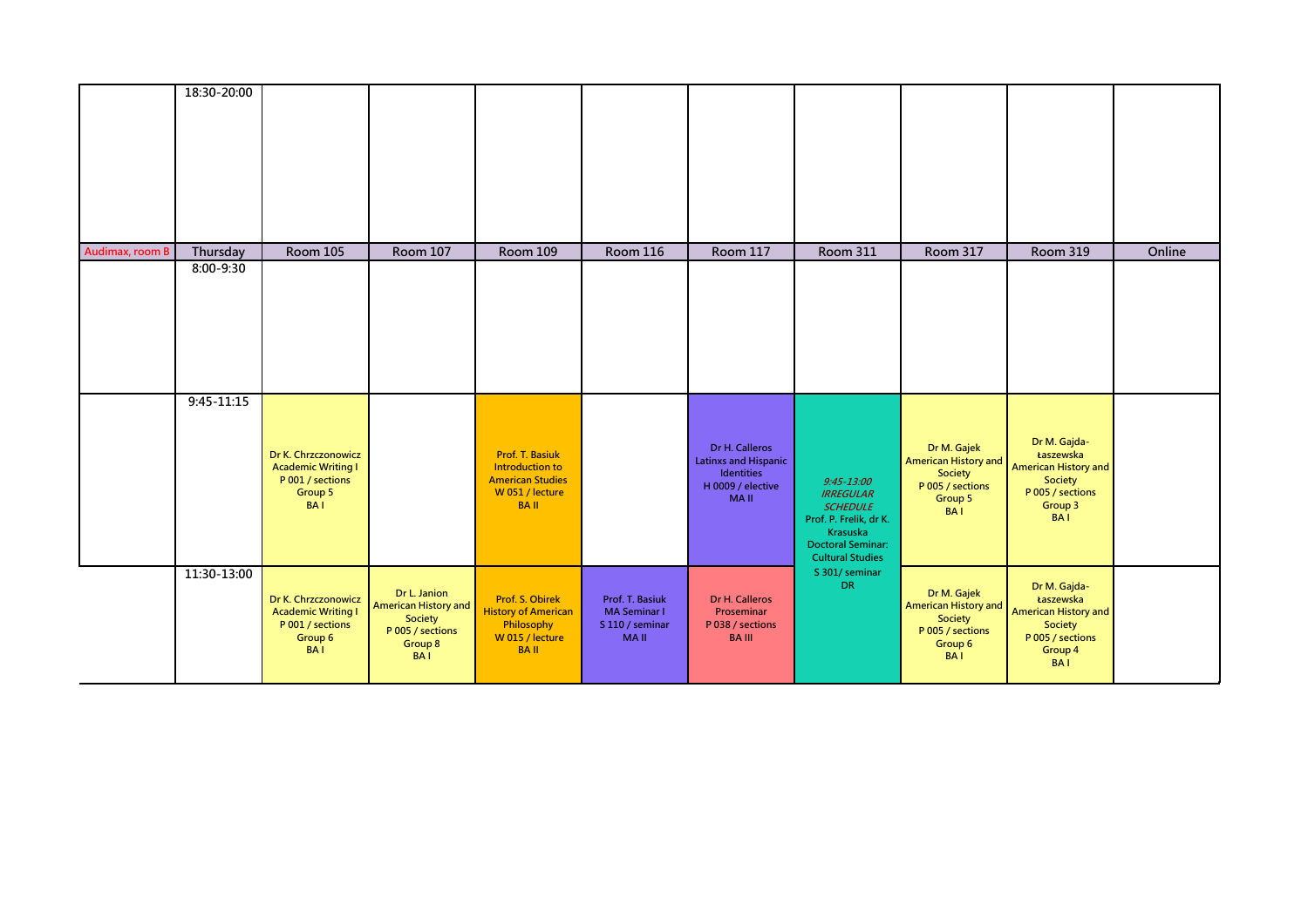|                 | 18:30-20:00    |                                                                                               |                                                                                                     |                                                                                                               |                                                                          |                                                                                                 |                                                                                                                                                    |                                                                                                    |                                                                                                                  |        |
|-----------------|----------------|-----------------------------------------------------------------------------------------------|-----------------------------------------------------------------------------------------------------|---------------------------------------------------------------------------------------------------------------|--------------------------------------------------------------------------|-------------------------------------------------------------------------------------------------|----------------------------------------------------------------------------------------------------------------------------------------------------|----------------------------------------------------------------------------------------------------|------------------------------------------------------------------------------------------------------------------|--------|
| Audimax, room B | Thursday       | <b>Room 105</b>                                                                               | <b>Room 107</b>                                                                                     | <b>Room 109</b>                                                                                               | <b>Room 116</b>                                                          | <b>Room 117</b>                                                                                 | <b>Room 311</b>                                                                                                                                    | <b>Room 317</b>                                                                                    | <b>Room 319</b>                                                                                                  | Online |
|                 | 8:00-9:30      |                                                                                               |                                                                                                     |                                                                                                               |                                                                          |                                                                                                 |                                                                                                                                                    |                                                                                                    |                                                                                                                  |        |
|                 | $9:45 - 11:15$ | Dr K. Chrzczonowicz<br><b>Academic Writing I</b><br>P 001 / sections<br>Group 5<br><b>BAI</b> |                                                                                                     | <b>Prof. T. Basiuk</b><br><b>Introduction to</b><br><b>American Studies</b><br>W 051 / lecture<br><b>BAII</b> |                                                                          | Dr H. Calleros<br><b>Latinxs and Hispanic</b><br>Identities<br>H 0009 / elective<br><b>MAII</b> | $9:45 - 13:00$<br><b>IRREGULAR</b><br><b>SCHEDULE</b><br>Prof. P. Frelik, dr K.<br>Krasuska<br><b>Doctoral Seminar:</b><br><b>Cultural Studies</b> | Dr M. Gajek<br><b>American History and</b><br>Society<br>P 005 / sections<br>Group 5<br><b>BAI</b> | Dr M. Gajda-<br>Łaszewska<br><b>American History and</b><br>Society<br>P 005 / sections<br>Group 3<br><b>BAI</b> |        |
|                 | 11:30-13:00    | Dr K. Chrzczonowicz<br><b>Academic Writing I</b><br>P 001 / sections<br>Group 6<br><b>BAI</b> | Dr L. Janion<br><b>American History and</b><br>Society<br>P 005 / sections<br>Group 8<br><b>BAI</b> | Prof. S. Obirek<br><b>History of American</b><br>Philosophy<br>W 015 / lecture<br><b>BAII</b>                 | Prof. T. Basiuk<br><b>MA Seminar I</b><br>S 110 / seminar<br><b>MAII</b> | Dr H. Calleros<br>Proseminar<br>P 038 / sections<br><b>BA III</b>                               | S 301/seminar<br><b>DR</b>                                                                                                                         | Dr M. Gajek<br><b>American History and</b><br>Society<br>P 005 / sections<br>Group 6<br><b>BAI</b> | Dr M. Gajda-<br>Łaszewska<br><b>American History and</b><br>Society<br>P 005 / sections<br>Group 4<br><b>BAI</b> |        |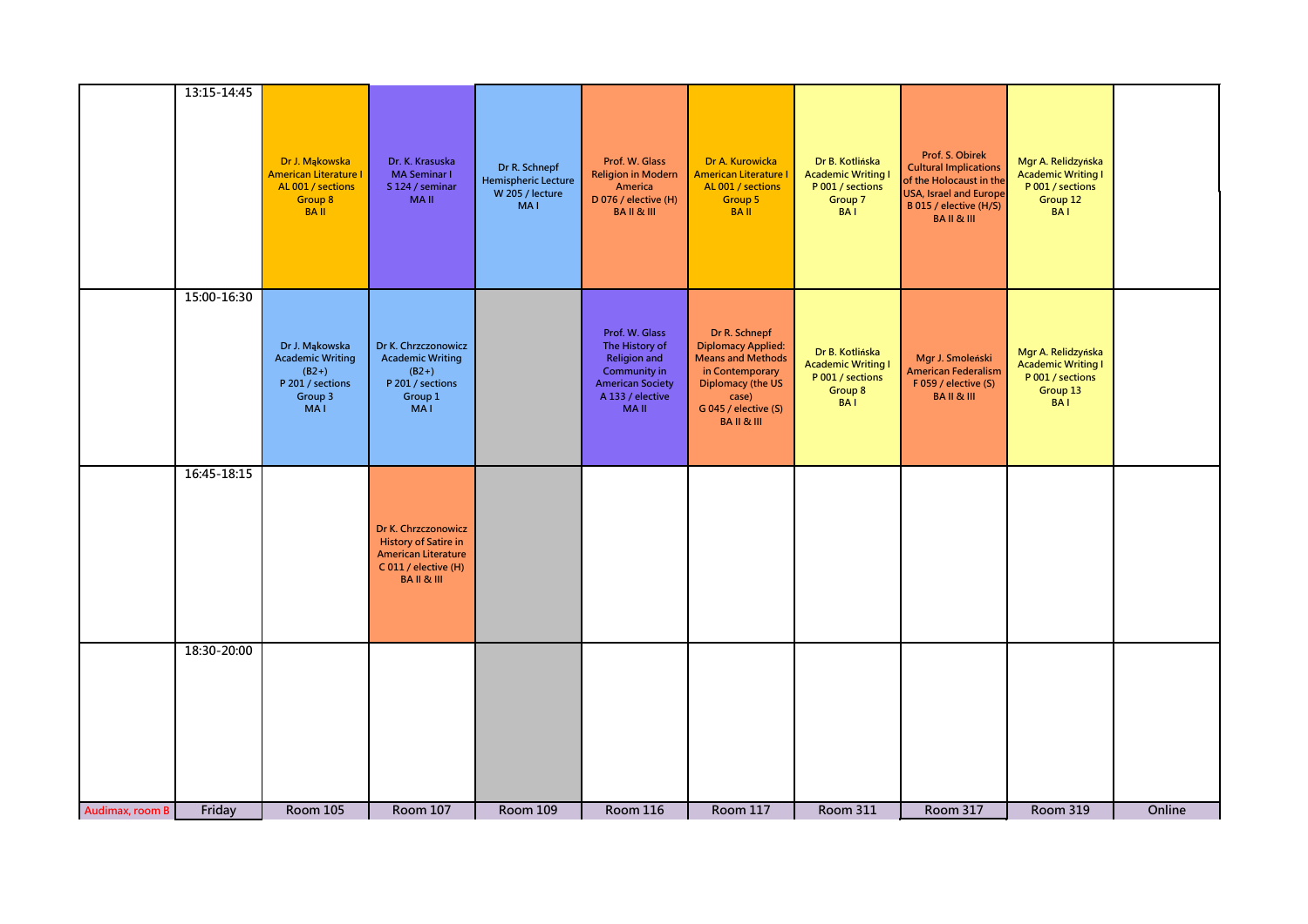|                 | 13:15-14:45 |                                                                                                   |                                                                                                                                 |                                                                              |                                                                                                                                       |                                                                                                                                                                               |                                                                                           |                                                                                                                                                              |                                                                                               |        |
|-----------------|-------------|---------------------------------------------------------------------------------------------------|---------------------------------------------------------------------------------------------------------------------------------|------------------------------------------------------------------------------|---------------------------------------------------------------------------------------------------------------------------------------|-------------------------------------------------------------------------------------------------------------------------------------------------------------------------------|-------------------------------------------------------------------------------------------|--------------------------------------------------------------------------------------------------------------------------------------------------------------|-----------------------------------------------------------------------------------------------|--------|
|                 |             | Dr J. Mąkowska<br><b>American Literature I</b><br>AL 001 / sections<br>Group 8<br><b>BAII</b>     | Dr. K. Krasuska<br><b>MA Seminar I</b><br>S 124 / seminar<br><b>MAII</b>                                                        | Dr R. Schnepf<br><b>Hemispheric Lecture</b><br>W 205 / lecture<br><b>MAI</b> | Prof. W. Glass<br><b>Religion in Modern</b><br>America<br>D 076 / elective (H)<br><b>BAIL&amp;III</b>                                 | Dr A. Kurowicka<br>American Literature I<br>AL 001 / sections<br>Group 5<br><b>BAII</b>                                                                                       | Dr B. Kotlińska<br><b>Academic Writing I</b><br>P 001 / sections<br>Group 7<br><b>BAI</b> | Prof. S. Obirek<br><b>Cultural Implications</b><br>of the Holocaust in the<br><b>USA, Israel and Europe</b><br>B 015 / elective (H/S)<br><b>BAIL&amp;III</b> | Mgr A. Relidzyńska<br><b>Academic Writing I</b><br>P 001 / sections<br>Group 12<br><b>BAI</b> |        |
|                 | 15:00-16:30 |                                                                                                   |                                                                                                                                 |                                                                              |                                                                                                                                       |                                                                                                                                                                               |                                                                                           |                                                                                                                                                              |                                                                                               |        |
|                 |             | Dr J. Mąkowska<br><b>Academic Writing</b><br>$(B2+)$<br>P 201 / sections<br>Group 3<br><b>MAI</b> | Dr K. Chrzczonowicz<br><b>Academic Writing</b><br>$(B2+)$<br>P 201 / sections<br>Group 1<br><b>MAI</b>                          |                                                                              | Prof. W. Glass<br>The History of<br><b>Religion and</b><br>Community in<br><b>American Society</b><br>A 133 / elective<br><b>MAII</b> | Dr R. Schnepf<br><b>Diplomacy Applied:</b><br><b>Means and Methods</b><br>in Contemporary<br><b>Diplomacy (the US</b><br>case)<br>G 045 / elective (S)<br><b>BAIL&amp;III</b> | Dr B. Kotlińska<br><b>Academic Writing I</b><br>P 001 / sections<br>Group 8<br><b>BAI</b> | Mgr J. Smoleński<br><b>American Federalism</b><br>F 059 / elective (S)<br><b>BAIL&amp;III</b>                                                                | Mgr A. Relidzyńska<br><b>Academic Writing I</b><br>P 001 / sections<br>Group 13<br><b>BAI</b> |        |
|                 | 16:45-18:15 |                                                                                                   |                                                                                                                                 |                                                                              |                                                                                                                                       |                                                                                                                                                                               |                                                                                           |                                                                                                                                                              |                                                                                               |        |
|                 |             |                                                                                                   | Dr K. Chrzczonowicz<br><b>History of Satire in</b><br><b>American Literature</b><br>C 011 / elective (H)<br><b>BAIL&amp;III</b> |                                                                              |                                                                                                                                       |                                                                                                                                                                               |                                                                                           |                                                                                                                                                              |                                                                                               |        |
|                 | 18:30-20:00 |                                                                                                   |                                                                                                                                 |                                                                              |                                                                                                                                       |                                                                                                                                                                               |                                                                                           |                                                                                                                                                              |                                                                                               |        |
|                 |             |                                                                                                   |                                                                                                                                 |                                                                              |                                                                                                                                       |                                                                                                                                                                               |                                                                                           |                                                                                                                                                              |                                                                                               |        |
|                 |             |                                                                                                   |                                                                                                                                 |                                                                              |                                                                                                                                       |                                                                                                                                                                               |                                                                                           |                                                                                                                                                              |                                                                                               |        |
|                 |             |                                                                                                   |                                                                                                                                 |                                                                              |                                                                                                                                       |                                                                                                                                                                               |                                                                                           |                                                                                                                                                              |                                                                                               |        |
| Audimax, room B | Friday      | <b>Room 105</b>                                                                                   | Room 107                                                                                                                        | <b>Room 109</b>                                                              | <b>Room 116</b>                                                                                                                       | <b>Room 117</b>                                                                                                                                                               | <b>Room 311</b>                                                                           | Room 317                                                                                                                                                     | <b>Room 319</b>                                                                               | Online |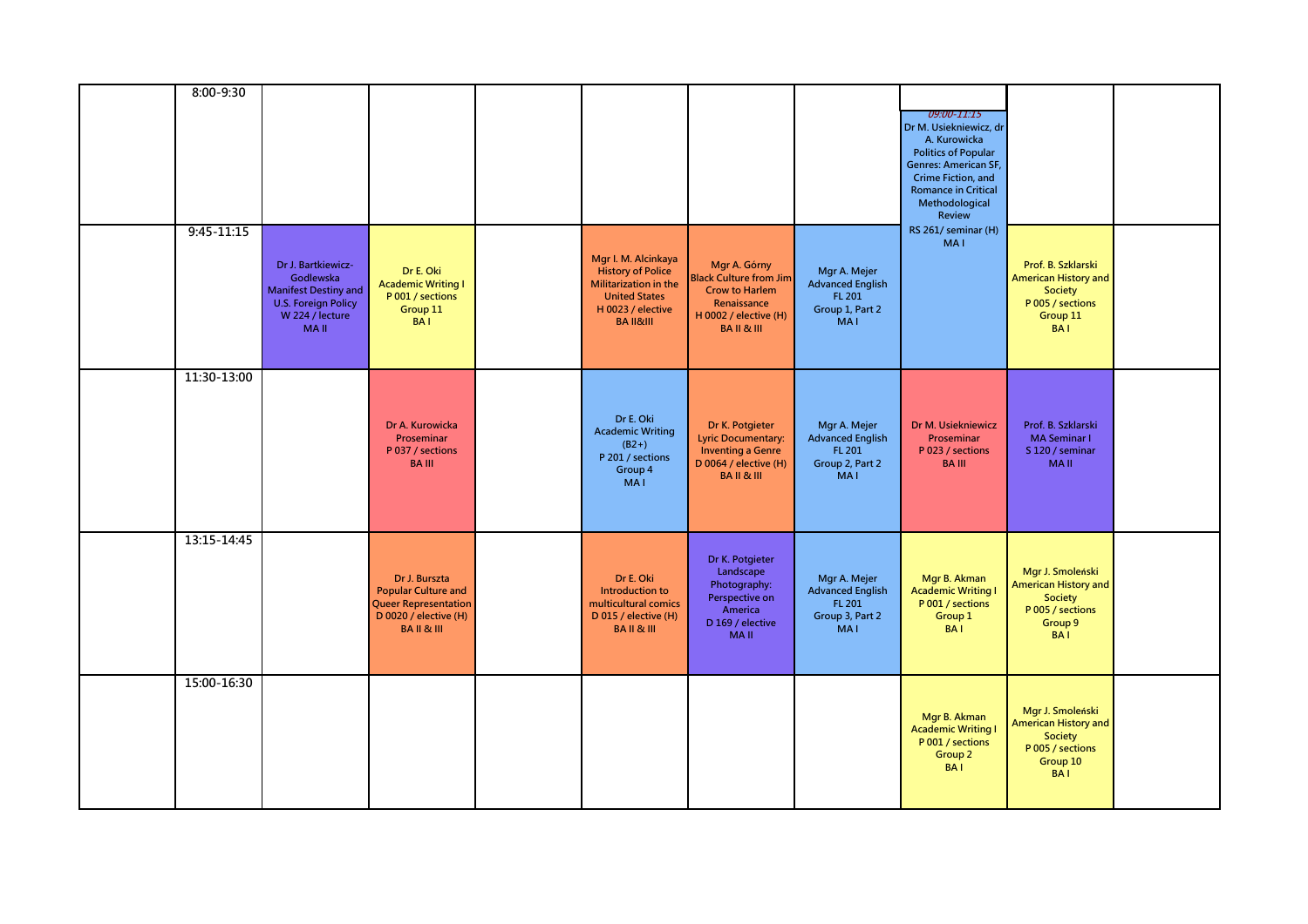| 8:00-9:30      |                                                                                                                                |                                                                                                                            |                                                                                                                                               |                                                                                                                                         |                                                                                         | <i>09:00-11:15</i><br>Dr M. Usiekniewicz, dr<br>A. Kurowicka<br><b>Politics of Popular</b><br>Genres: American SF,<br>Crime Fiction, and<br><b>Romance in Critical</b><br>Methodological<br>Review |                                                                                                            |  |
|----------------|--------------------------------------------------------------------------------------------------------------------------------|----------------------------------------------------------------------------------------------------------------------------|-----------------------------------------------------------------------------------------------------------------------------------------------|-----------------------------------------------------------------------------------------------------------------------------------------|-----------------------------------------------------------------------------------------|----------------------------------------------------------------------------------------------------------------------------------------------------------------------------------------------------|------------------------------------------------------------------------------------------------------------|--|
| $9:45 - 11:15$ | Dr J. Bartkiewicz-<br>Godlewska<br><b>Manifest Destiny and</b><br><b>U.S. Foreign Policy</b><br>W 224 / lecture<br><b>MAII</b> | Dr E. Oki<br><b>Academic Writing I</b><br>P 001 / sections<br>Group 11<br><b>BAI</b>                                       | Mgr I. M. Alcinkaya<br><b>History of Police</b><br>Militarization in the<br><b>United States</b><br>H 0023 / elective<br><b>BA II&amp;III</b> | Mgr A. Górny<br><b>Black Culture from Jim</b><br><b>Crow to Harlem</b><br>Renaissance<br>H 0002 / elective $(H)$<br><b>BAIL&amp;III</b> | Mgr A. Mejer<br><b>Advanced English</b><br>FL 201<br>Group 1, Part 2<br>MA <sub>I</sub> | RS 261/ seminar (H)<br><b>MAI</b>                                                                                                                                                                  | Prof. B. Szklarski<br><b>American History and</b><br>Society<br>P 005 / sections<br>Group 11<br><b>BAI</b> |  |
| 11:30-13:00    |                                                                                                                                | Dr A. Kurowicka<br>Proseminar<br>P 037 / sections<br><b>BAIII</b>                                                          | Dr E. Oki<br><b>Academic Writing</b><br>$(B2+)$<br>P 201 / sections<br>Group 4<br><b>MAI</b>                                                  | Dr K. Potgieter<br><b>Lyric Documentary:</b><br><b>Inventing a Genre</b><br>D 0064 / elective (H)<br><b>BAIL&amp;III</b>                | Mgr A. Mejer<br><b>Advanced English</b><br>FL 201<br>Group 2, Part 2<br><b>MAI</b>      | Dr M. Usiekniewicz<br>Proseminar<br>P 023 / sections<br><b>BA III</b>                                                                                                                              | Prof. B. Szklarski<br><b>MA Seminar I</b><br>S 120 / seminar<br><b>MAII</b>                                |  |
| 13:15-14:45    |                                                                                                                                | Dr J. Burszta<br><b>Popular Culture and</b><br><b>Queer Representation</b><br>D 0020 / elective (H)<br><b>BAIL&amp;III</b> | Dr E. Oki<br>Introduction to<br>multicultural comics<br>D 015 / elective (H)<br><b>BAIL&amp;III</b>                                           | Dr K. Potgieter<br>Landscape<br>Photography:<br>Perspective on<br>America<br>D 169 / elective<br><b>MAII</b>                            | Mgr A. Mejer<br><b>Advanced English</b><br>FL 201<br>Group 3, Part 2<br><b>MAI</b>      | Mgr B. Akman<br><b>Academic Writing I</b><br>P 001 / sections<br>Group 1<br><b>BAI</b>                                                                                                             | Mgr J. Smoleński<br>American History and<br>Society<br>P 005 / sections<br>Group 9<br><b>BAI</b>           |  |
| 15:00-16:30    |                                                                                                                                |                                                                                                                            |                                                                                                                                               |                                                                                                                                         |                                                                                         | Mgr B. Akman<br><b>Academic Writing I</b><br>P 001 / sections<br>Group 2<br><b>BAI</b>                                                                                                             | Mgr J. Smoleński<br><b>American History and</b><br>Society<br>P 005 / sections<br>Group 10<br><b>BAI</b>   |  |